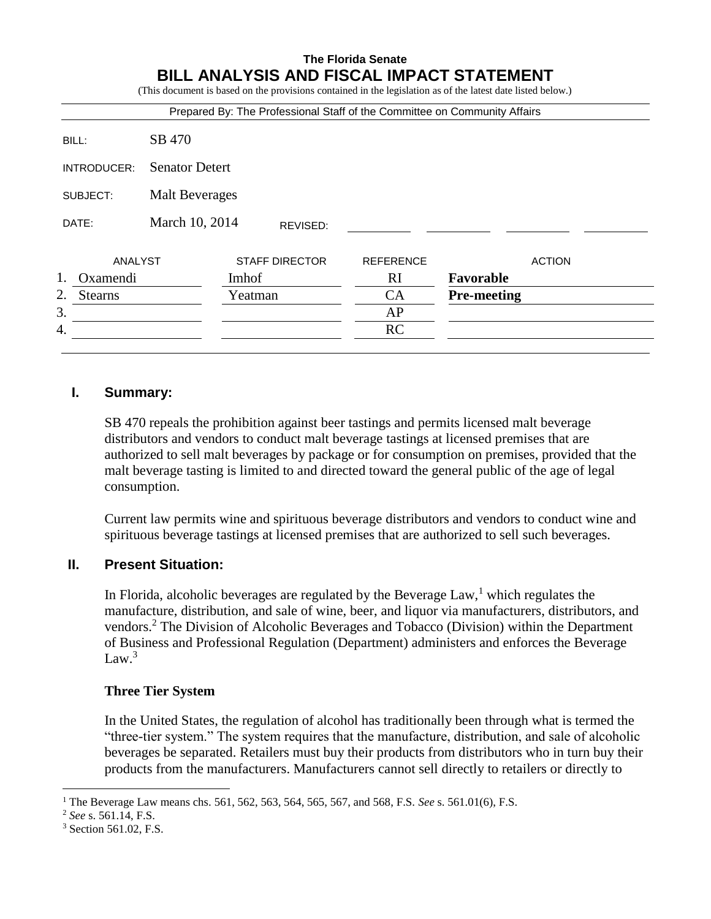# **The Florida Senate BILL ANALYSIS AND FISCAL IMPACT STATEMENT**

(This document is based on the provisions contained in the legislation as of the latest date listed below.)

|                                   |                       | Prepared By: The Professional Staff of the Committee on Community Affairs |                  |                    |
|-----------------------------------|-----------------------|---------------------------------------------------------------------------|------------------|--------------------|
| BILL:                             | SB 470                |                                                                           |                  |                    |
| INTRODUCER:                       | <b>Senator Detert</b> |                                                                           |                  |                    |
| <b>Malt Beverages</b><br>SUBJECT: |                       |                                                                           |                  |                    |
| DATE:                             | March 10, 2014        | REVISED:                                                                  |                  |                    |
| ANALYST                           |                       | <b>STAFF DIRECTOR</b>                                                     | <b>REFERENCE</b> | <b>ACTION</b>      |
| 1.<br>Oxamendi                    |                       | Imhof                                                                     | <sub>RI</sub>    | Favorable          |
| 2.<br><b>Stearns</b>              |                       | Yeatman                                                                   | CA               | <b>Pre-meeting</b> |
| 3.                                |                       |                                                                           | AP               |                    |
|                                   |                       |                                                                           | <b>RC</b>        |                    |

### **I. Summary:**

SB 470 repeals the prohibition against beer tastings and permits licensed malt beverage distributors and vendors to conduct malt beverage tastings at licensed premises that are authorized to sell malt beverages by package or for consumption on premises, provided that the malt beverage tasting is limited to and directed toward the general public of the age of legal consumption.

Current law permits wine and spirituous beverage distributors and vendors to conduct wine and spirituous beverage tastings at licensed premises that are authorized to sell such beverages.

## **II. Present Situation:**

In Florida, alcoholic beverages are regulated by the Beverage Law,<sup>1</sup> which regulates the manufacture, distribution, and sale of wine, beer, and liquor via manufacturers, distributors, and vendors.<sup>2</sup> The Division of Alcoholic Beverages and Tobacco (Division) within the Department of Business and Professional Regulation (Department) administers and enforces the Beverage Law. $3$ 

### **Three Tier System**

In the United States, the regulation of alcohol has traditionally been through what is termed the "three-tier system." The system requires that the manufacture, distribution, and sale of alcoholic beverages be separated. Retailers must buy their products from distributors who in turn buy their products from the manufacturers. Manufacturers cannot sell directly to retailers or directly to

 $\overline{a}$ 

<sup>1</sup> The Beverage Law means chs. 561, 562, 563, 564, 565, 567, and 568, F.S. *See* s. 561.01(6), F.S.

<sup>2</sup> *See* s. 561.14, F.S.

<sup>3</sup> Section 561.02, F.S.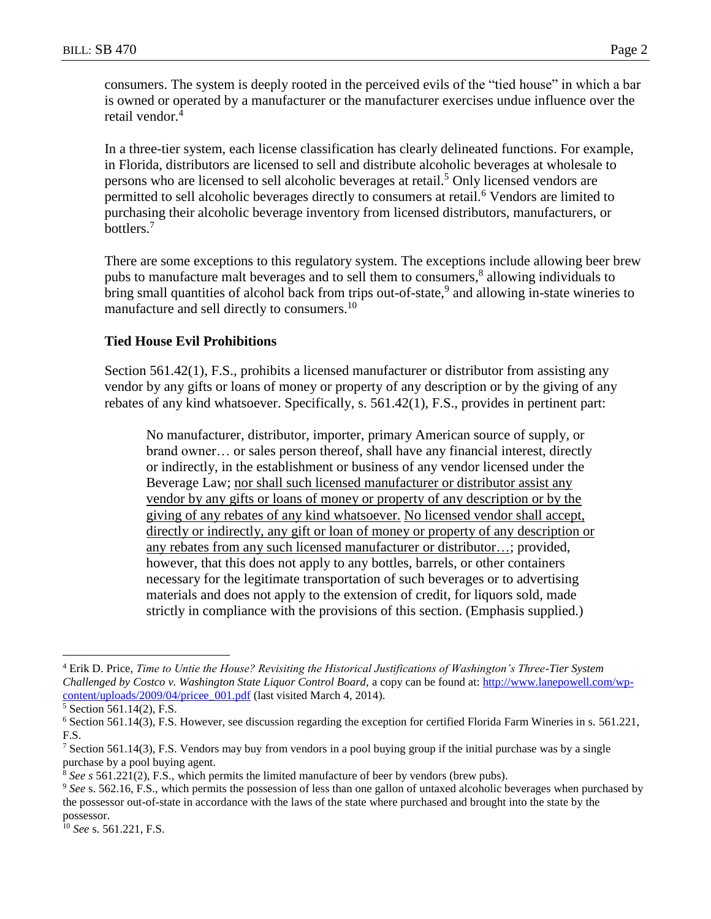consumers. The system is deeply rooted in the perceived evils of the "tied house" in which a bar is owned or operated by a manufacturer or the manufacturer exercises undue influence over the retail vendor.<sup>4</sup>

In a three-tier system, each license classification has clearly delineated functions. For example, in Florida, distributors are licensed to sell and distribute alcoholic beverages at wholesale to persons who are licensed to sell alcoholic beverages at retail.<sup>5</sup> Only licensed vendors are permitted to sell alcoholic beverages directly to consumers at retail.<sup>6</sup> Vendors are limited to purchasing their alcoholic beverage inventory from licensed distributors, manufacturers, or bottlers.<sup>7</sup>

There are some exceptions to this regulatory system. The exceptions include allowing beer brew pubs to manufacture malt beverages and to sell them to consumers,<sup>8</sup> allowing individuals to bring small quantities of alcohol back from trips out-of-state,<sup>9</sup> and allowing in-state wineries to manufacture and sell directly to consumers.<sup>10</sup>

### **Tied House Evil Prohibitions**

Section 561.42(1), F.S., prohibits a licensed manufacturer or distributor from assisting any vendor by any gifts or loans of money or property of any description or by the giving of any rebates of any kind whatsoever. Specifically, s. 561.42(1), F.S., provides in pertinent part:

No manufacturer, distributor, importer, primary American source of supply, or brand owner… or sales person thereof, shall have any financial interest, directly or indirectly, in the establishment or business of any vendor licensed under the Beverage Law; nor shall such licensed manufacturer or distributor assist any vendor by any gifts or loans of money or property of any description or by the giving of any rebates of any kind whatsoever. No licensed vendor shall accept, directly or indirectly, any gift or loan of money or property of any description or any rebates from any such licensed manufacturer or distributor…; provided, however, that this does not apply to any bottles, barrels, or other containers necessary for the legitimate transportation of such beverages or to advertising materials and does not apply to the extension of credit, for liquors sold, made strictly in compliance with the provisions of this section. (Emphasis supplied.)

 $\overline{a}$ 

<sup>4</sup> Erik D. Price, *Time to Untie the House? Revisiting the Historical Justifications of Washington's Three-Tier System Challenged by Costco v. Washington State Liquor Control Board,* a copy can be found at: [http://www.lanepowell.com/wp](http://www.lanepowell.com/wp-content/uploads/2009/04/pricee_001.pdf)[content/uploads/2009/04/pricee\\_001.pdf](http://www.lanepowell.com/wp-content/uploads/2009/04/pricee_001.pdf) (last visited March 4, 2014).

<sup>5</sup> Section 561.14(2), F.S.

<sup>6</sup> Section 561.14(3), F.S. However, see discussion regarding the exception for certified Florida Farm Wineries in s. 561.221, F.S.

<sup>&</sup>lt;sup>7</sup> Section 561.14(3), F.S. Vendors may buy from vendors in a pool buying group if the initial purchase was by a single purchase by a pool buying agent.

<sup>8</sup> *See s* 561.221(2), F.S., which permits the limited manufacture of beer by vendors (brew pubs).

<sup>&</sup>lt;sup>9</sup> See s. 562.16, F.S., which permits the possession of less than one gallon of untaxed alcoholic beverages when purchased by the possessor out-of-state in accordance with the laws of the state where purchased and brought into the state by the possessor.

<sup>10</sup> *See* s. 561.221, F.S.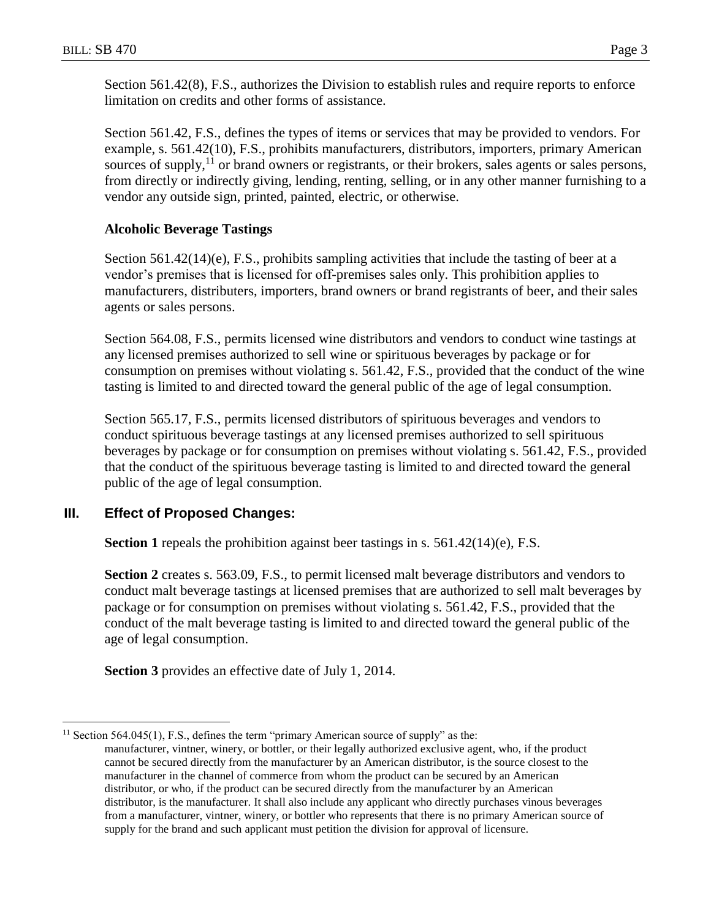Section 561.42(8), F.S., authorizes the Division to establish rules and require reports to enforce limitation on credits and other forms of assistance.

Section 561.42, F.S., defines the types of items or services that may be provided to vendors. For example, s. 561.42(10), F.S., prohibits manufacturers, distributors, importers, primary American sources of supply,<sup>11</sup> or brand owners or registrants, or their brokers, sales agents or sales persons, from directly or indirectly giving, lending, renting, selling, or in any other manner furnishing to a vendor any outside sign, printed, painted, electric, or otherwise.

## **Alcoholic Beverage Tastings**

Section  $561.42(14)(e)$ , F.S., prohibits sampling activities that include the tasting of beer at a vendor's premises that is licensed for off-premises sales only. This prohibition applies to manufacturers, distributers, importers, brand owners or brand registrants of beer, and their sales agents or sales persons.

Section 564.08, F.S., permits licensed wine distributors and vendors to conduct wine tastings at any licensed premises authorized to sell wine or spirituous beverages by package or for consumption on premises without violating s. 561.42, F.S., provided that the conduct of the wine tasting is limited to and directed toward the general public of the age of legal consumption.

Section 565.17, F.S., permits licensed distributors of spirituous beverages and vendors to conduct spirituous beverage tastings at any licensed premises authorized to sell spirituous beverages by package or for consumption on premises without violating s. 561.42, F.S., provided that the conduct of the spirituous beverage tasting is limited to and directed toward the general public of the age of legal consumption.

## **III. Effect of Proposed Changes:**

 $\overline{a}$ 

**Section 1** repeals the prohibition against beer tastings in s. 561.42(14)(e), F.S.

**Section 2** creates s. 563.09, F.S., to permit licensed malt beverage distributors and vendors to conduct malt beverage tastings at licensed premises that are authorized to sell malt beverages by package or for consumption on premises without violating s. 561.42, F.S., provided that the conduct of the malt beverage tasting is limited to and directed toward the general public of the age of legal consumption.

**Section 3** provides an effective date of July 1, 2014.

<sup>&</sup>lt;sup>11</sup> Section 564.045(1), F.S., defines the term "primary American source of supply" as the: manufacturer, vintner, winery, or bottler, or their legally authorized exclusive agent, who, if the product cannot be secured directly from the manufacturer by an American distributor, is the source closest to the manufacturer in the channel of commerce from whom the product can be secured by an American distributor, or who, if the product can be secured directly from the manufacturer by an American distributor, is the manufacturer. It shall also include any applicant who directly purchases vinous beverages from a manufacturer, vintner, winery, or bottler who represents that there is no primary American source of supply for the brand and such applicant must petition the division for approval of licensure.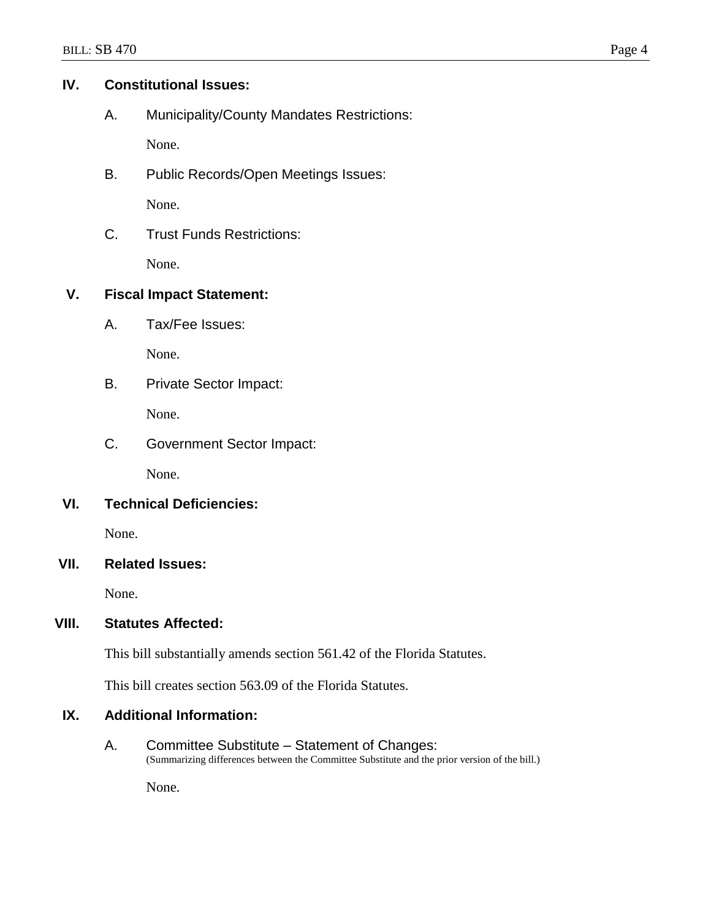## **IV. Constitutional Issues:**

A. Municipality/County Mandates Restrictions:

None.

B. Public Records/Open Meetings Issues:

None.

C. Trust Funds Restrictions:

None.

## **V. Fiscal Impact Statement:**

A. Tax/Fee Issues:

None.

B. Private Sector Impact:

None.

C. Government Sector Impact:

None.

## **VI. Technical Deficiencies:**

None.

# **VII. Related Issues:**

None.

## **VIII. Statutes Affected:**

This bill substantially amends section 561.42 of the Florida Statutes.

This bill creates section 563.09 of the Florida Statutes.

# **IX. Additional Information:**

A. Committee Substitute – Statement of Changes: (Summarizing differences between the Committee Substitute and the prior version of the bill.)

None.